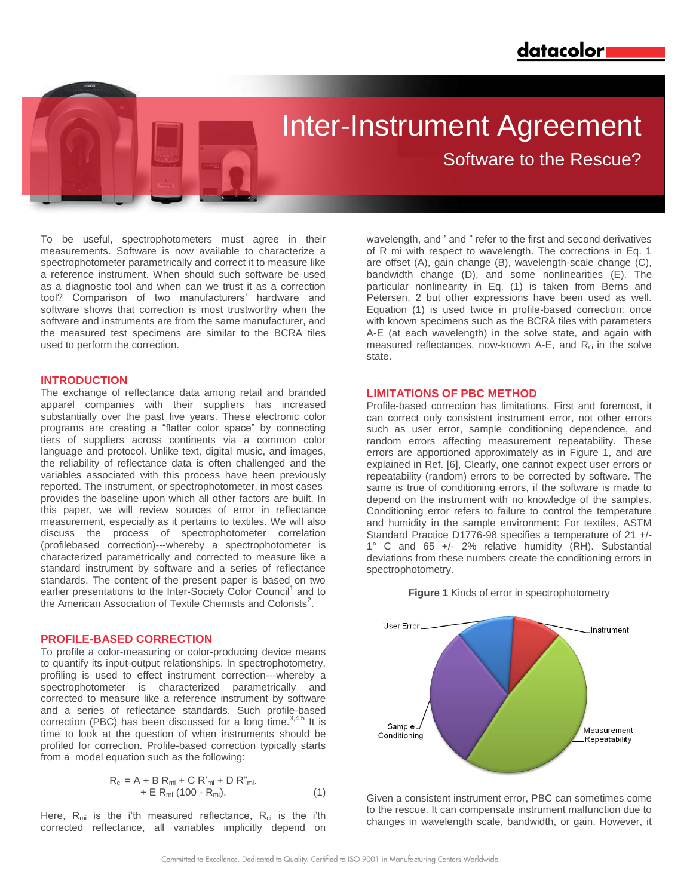# Inter-Instrument Agreement

Software to the Rescue?

To be useful, spectrophotometers must agree in their measurements. Software is now available to characterize a spectrophotometer parametrically and correct it to measure like a reference instrument. When should such software be used as a diagnostic tool and when can we trust it as a correction tool? Comparison of two manufacturers' hardware and software shows that correction is most trustworthy when the software and instruments are from the same manufacturer, and the measured test specimens are similar to the BCRA tiles used to perform the correction.

## **INTRODUCTION**

The exchange of reflectance data among retail and branded apparel companies with their suppliers has increased substantially over the past five years. These electronic color programs are creating a "flatter color space" by connecting tiers of suppliers across continents via a common color language and protocol. Unlike text, digital music, and images, the reliability of reflectance data is often challenged and the variables associated with this process have been previously reported. The instrument, or spectrophotometer, in most cases provides the baseline upon which all other factors are built. In this paper, we will review sources of error in reflectance measurement, especially as it pertains to textiles. We will also discuss the process of spectrophotometer correlation (profilebased correction)---whereby a spectrophotometer is characterized parametrically and corrected to measure like a standard instrument by software and a series of reflectance standards. The content of the present paper is based on two earlier presentations to the Inter-Society Color Council<sup>1</sup> and to the American Association of Textile Chemists and Colorists<sup>2</sup>.

## **PROFILE-BASED CORRECTION**

To profile a color-measuring or color-producing device means to quantify its input-output relationships. In spectrophotometry, profiling is used to effect instrument correction---whereby a spectrophotometer is characterized parametrically and corrected to measure like a reference instrument by software and a series of reflectance standards. Such profile-based correction (PBC) has been discussed for a long time.<sup>3,4,5</sup> It is time to look at the question of when instruments should be profiled for correction. Profile-based correction typically starts from a model equation such as the following:

$$
R_{ci} = A + B R_{mi} + C R'_{mi} + D R''_{mi}.
$$
  
+ E R\_{mi} (100 - R\_{mi}). (1)

Here,  $R_{mi}$  is the i'th measured reflectance,  $R_{ci}$  is the i'th corrected reflectance, all variables implicitly depend on

wavelength, and ' and " refer to the first and second derivatives of R mi with respect to wavelength. The corrections in Eq. 1 are offset (A), gain change (B), wavelength-scale change (C), bandwidth change (D), and some nonlinearities (E). The particular nonlinearity in Eq. (1) is taken from Berns and Petersen, 2 but other expressions have been used as well. Equation (1) is used twice in profile-based correction: once with known specimens such as the BCRA tiles with parameters A-E (at each wavelength) in the solve state, and again with measured reflectances, now-known A-E, and  $R_{ci}$  in the solve state.

# **LIMITATIONS OF PBC METHOD**

Profile-based correction has limitations. First and foremost, it can correct only consistent instrument error, not other errors such as user error, sample conditioning dependence, and random errors affecting measurement repeatability. These errors are apportioned approximately as in Figure 1, and are explained in Ref. [6], Clearly, one cannot expect user errors or repeatability (random) errors to be corrected by software. The same is true of conditioning errors, if the software is made to depend on the instrument with no knowledge of the samples. Conditioning error refers to failure to control the temperature and humidity in the sample environment: For textiles, ASTM Standard Practice D1776-98 specifies a temperature of 21 +/- 1° C and 65 +/- 2% relative humidity (RH). Substantial deviations from these numbers create the conditioning errors in spectrophotometry.





Given a consistent instrument error, PBC can sometimes come to the rescue. It can compensate instrument malfunction due to changes in wavelength scale, bandwidth, or gain. However, it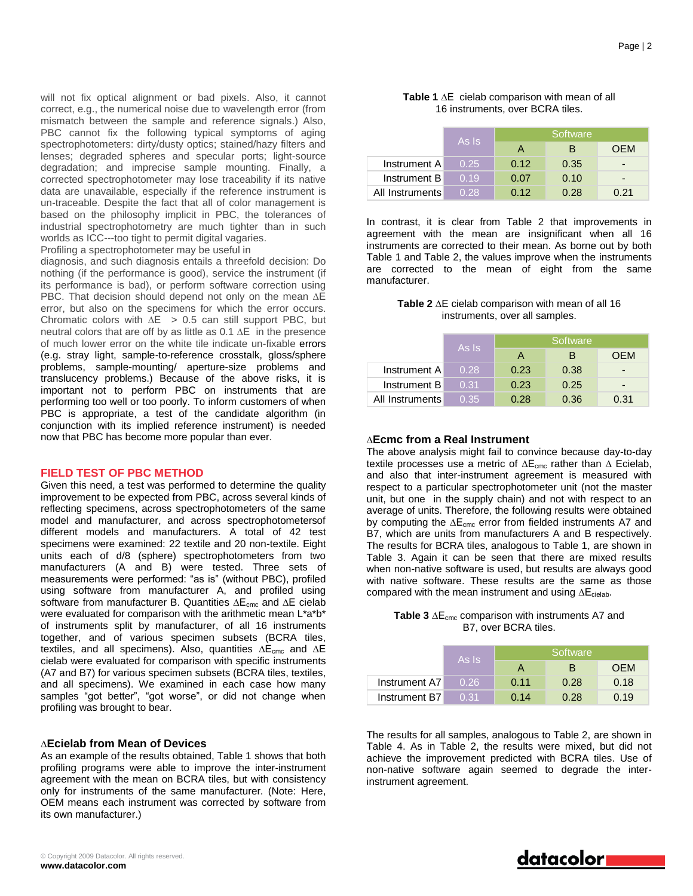will not fix optical alignment or bad pixels. Also, it cannot correct, e.g., the numerical noise due to wavelength error (from mismatch between the sample and reference signals.) Also, PBC cannot fix the following typical symptoms of aging spectrophotometers: dirty/dusty optics; stained/hazy filters and lenses; degraded spheres and specular ports; light-source degradation; and imprecise sample mounting. Finally, a corrected spectrophotometer may lose traceability if its native data are unavailable, especially if the reference instrument is un-traceable. Despite the fact that all of color management is based on the philosophy implicit in PBC, the tolerances of industrial spectrophotometry are much tighter than in such worlds as ICC---too tight to permit digital vagaries.

Profiling a spectrophotometer may be useful in

diagnosis, and such diagnosis entails a threefold decision: Do nothing (if the performance is good), service the instrument (if its performance is bad), or perform software correction using PBC. That decision should depend not only on the mean ∆E error, but also on the specimens for which the error occurs. Chromatic colors with ∆E > 0.5 can still support PBC, but neutral colors that are off by as little as 0.1 ∆E in the presence of much lower error on the white tile indicate un-fixable errors (e.g. stray light, sample-to-reference crosstalk, gloss/sphere problems, sample-mounting/ aperture-size problems and translucency problems.) Because of the above risks, it is important not to perform PBC on instruments that are performing too well or too poorly. To inform customers of when PBC is appropriate, a test of the candidate algorithm (in conjunction with its implied reference instrument) is needed now that PBC has become more popular than ever.

## **FIELD TEST OF PBC METHOD**

Given this need, a test was performed to determine the quality improvement to be expected from PBC, across several kinds of reflecting specimens, across spectrophotometers of the same model and manufacturer, and across spectrophotometersof different models and manufacturers. A total of 42 test specimens were examined: 22 textile and 20 non-textile. Eight units each of d/8 (sphere) spectrophotometers from two manufacturers (A and B) were tested. Three sets of measurements were performed: "as is" (without PBC), profiled using software from manufacturer A, and profiled using software from manufacturer B. Quantities ∆E<sub>cmc</sub> and ∆E cielab were evaluated for comparison with the arithmetic mean L\*a\*b\* of instruments split by manufacturer, of all 16 instruments together, and of various specimen subsets (BCRA tiles, textiles, and all specimens). Also, quantities ∆E<sub>cmc</sub> and ∆E cielab were evaluated for comparison with specific instruments (A7 and B7) for various specimen subsets (BCRA tiles, textiles, and all specimens). We examined in each case how many samples "got better", "got worse", or did not change when profiling was brought to bear.

#### ∆**Ecielab from Mean of Devices**

As an example of the results obtained, Table 1 shows that both profiling programs were able to improve the inter-instrument agreement with the mean on BCRA tiles, but with consistency only for instruments of the same manufacturer. (Note: Here, OEM means each instrument was corrected by software from its own manufacturer.)

#### **Table 1** ∆E cielab comparison with mean of all 16 instruments, over BCRA tiles.

|                 | As Is | Software |      |                          |
|-----------------|-------|----------|------|--------------------------|
|                 |       | А        | в    | OFM                      |
| Instrument A    | 0.25  | 0.12     | 0.35 | $\overline{\phantom{0}}$ |
| Instrument B    | 0.19  | 0.07     | 0.10 | $\overline{\phantom{0}}$ |
| All Instruments | 0.28  | 0.12     | 0.28 | 0.21                     |

In contrast, it is clear from Table 2 that improvements in agreement with the mean are insignificant when all 16 instruments are corrected to their mean. As borne out by both Table 1 and Table 2, the values improve when the instruments are corrected to the mean of eight from the same manufacturer.

#### **Table 2** ∆E cielab comparison with mean of all 16 instruments, over all samples.

|                 | As Is | Software |      |                          |
|-----------------|-------|----------|------|--------------------------|
|                 |       | A        | в    | OEM                      |
| Instrument A    | 0.28  | 0.23     | 0.38 | $\overline{\phantom{0}}$ |
| Instrument B    | 0.31  | 0.23     | 0.25 | $\overline{\phantom{0}}$ |
| All Instruments | 0.35  | 0.28     | 0.36 | 0.31                     |

## ∆**Ecmc from a Real Instrument**

The above analysis might fail to convince because day-to-day textile processes use a metric of ∆E<sub>cmc</sub> rather than ∆ Ecielab, and also that inter-instrument agreement is measured with respect to a particular spectrophotometer unit (not the master unit, but one in the supply chain) and not with respect to an average of units. Therefore, the following results were obtained by computing the ∆E<sub>cmc</sub> error from fielded instruments A7 and B7, which are units from manufacturers A and B respectively. The results for BCRA tiles, analogous to Table 1, are shown in Table 3. Again it can be seen that there are mixed results when non-native software is used, but results are always good with native software. These results are the same as those compared with the mean instrument and using ∆E<sub>cielab</sub>.

## Table 3 ∆E<sub>cmc</sub> comparison with instruments A7 and B7, over BCRA tiles.

|               | As Is' | 'Software |      |            |
|---------------|--------|-----------|------|------------|
|               |        | А         | в    | <b>OEM</b> |
| Instrument A7 | 0.26   | 0.11      | 0.28 | 0.18       |
| Instrument B7 | 0.31   | 0.14      | 0.28 | 0.19       |

The results for all samples, analogous to Table 2, are shown in Table 4. As in Table 2, the results were mixed, but did not achieve the improvement predicted with BCRA tiles. Use of non-native software again seemed to degrade the interinstrument agreement.